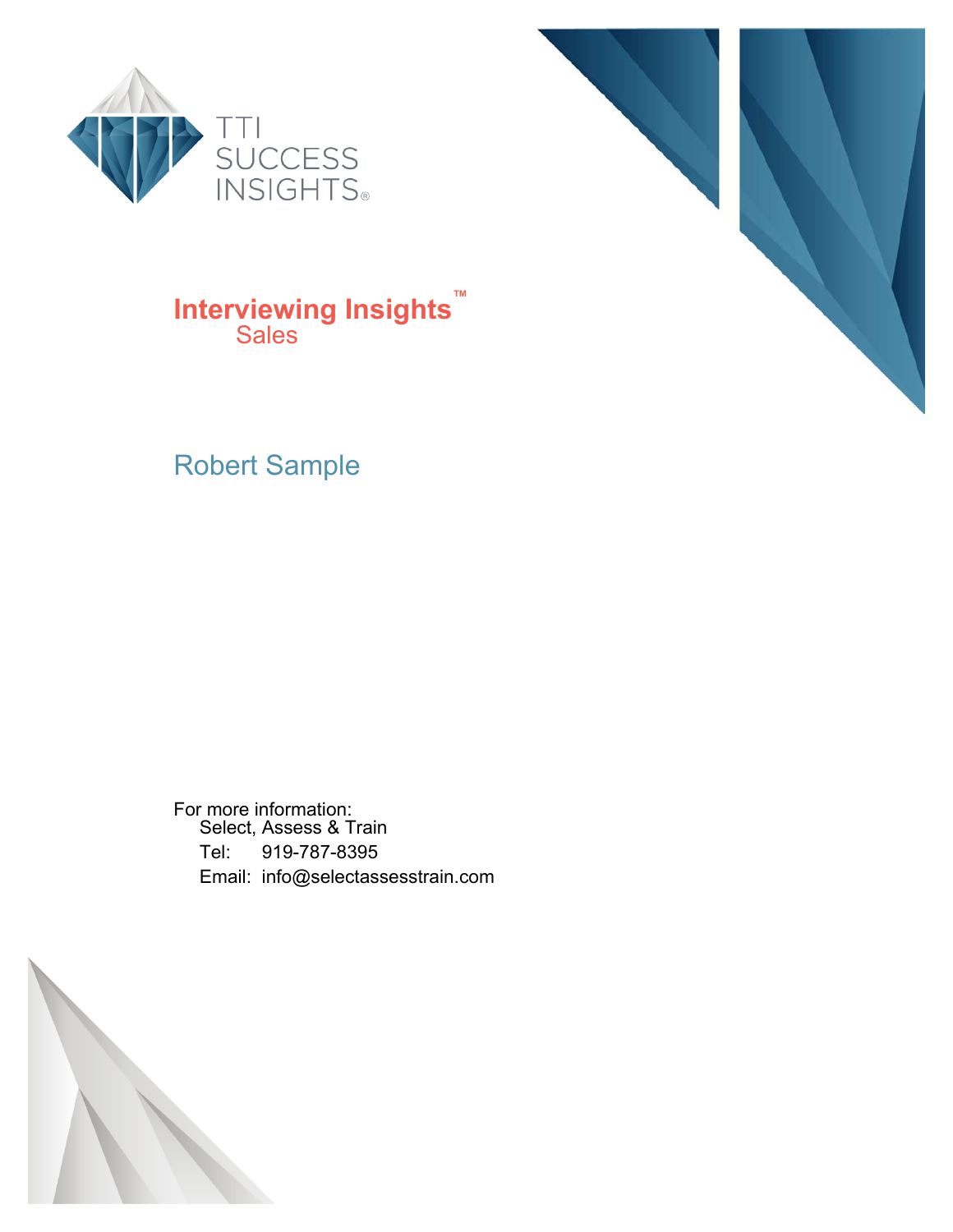



#### **Interviewing Insights™ Sales**

#### Robert Sample

For more information: Select, Assess & Train Tel: 919-787-8395 Email: info@selectassesstrain.com

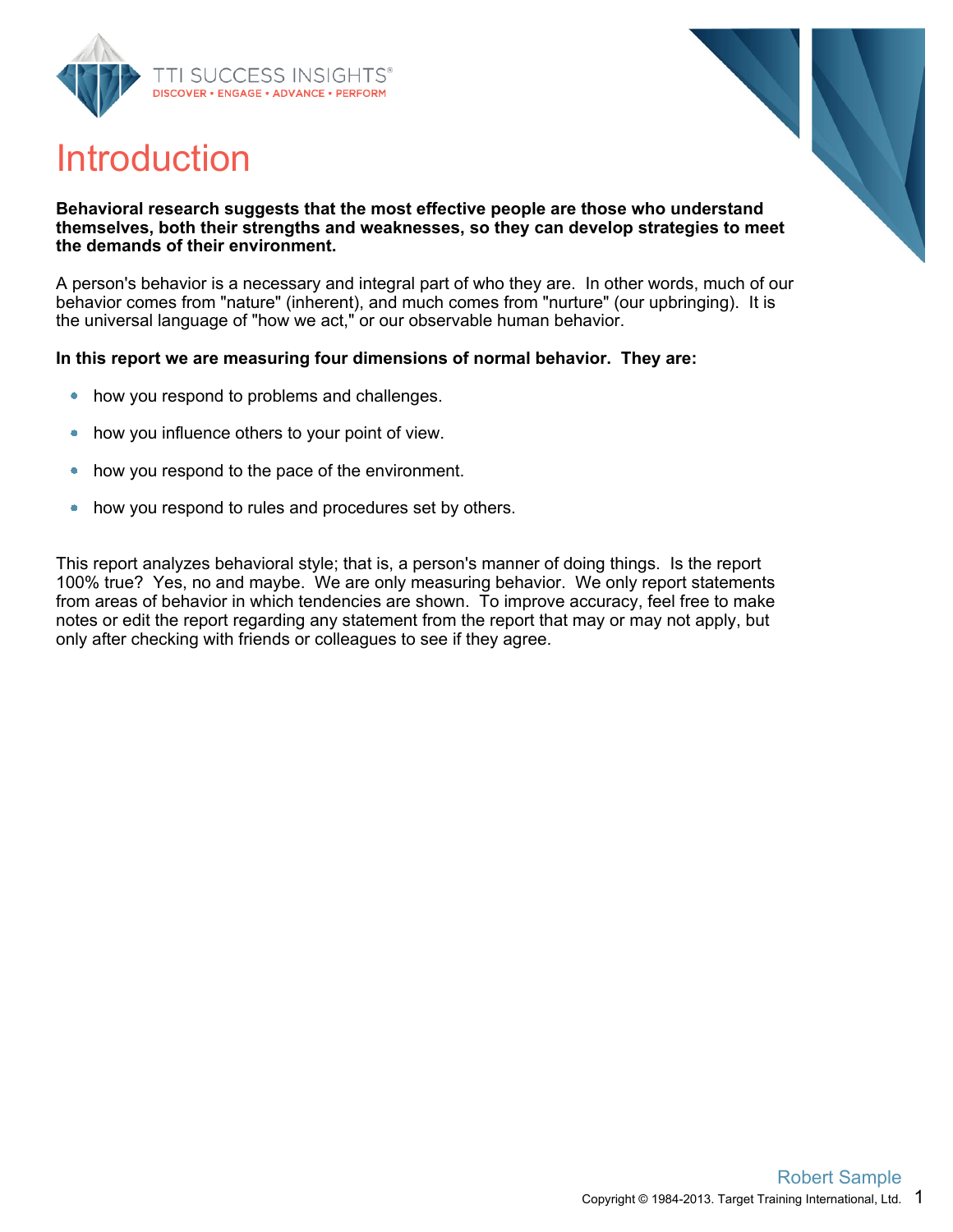





#### **Behavioral research suggests that the most effective people are those who understand themselves, both their strengths and weaknesses, so they can develop strategies to meet the demands of their environment.**

A person's behavior is a necessary and integral part of who they are. In other words, much of our behavior comes from "nature" (inherent), and much comes from "nurture" (our upbringing). It is the universal language of "how we act," or our observable human behavior.

#### **In this report we are measuring four dimensions of normal behavior. They are:**

- how you respond to problems and challenges.  $\bullet$
- how you influence others to your point of view.  $\bullet$
- how you respond to the pace of the environment.  $\bullet$
- how you respond to rules and procedures set by others.  $\bullet$

This report analyzes behavioral style; that is, a person's manner of doing things. Is the report 100% true? Yes, no and maybe. We are only measuring behavior. We only report statements from areas of behavior in which tendencies are shown. To improve accuracy, feel free to make notes or edit the report regarding any statement from the report that may or may not apply, but only after checking with friends or colleagues to see if they agree.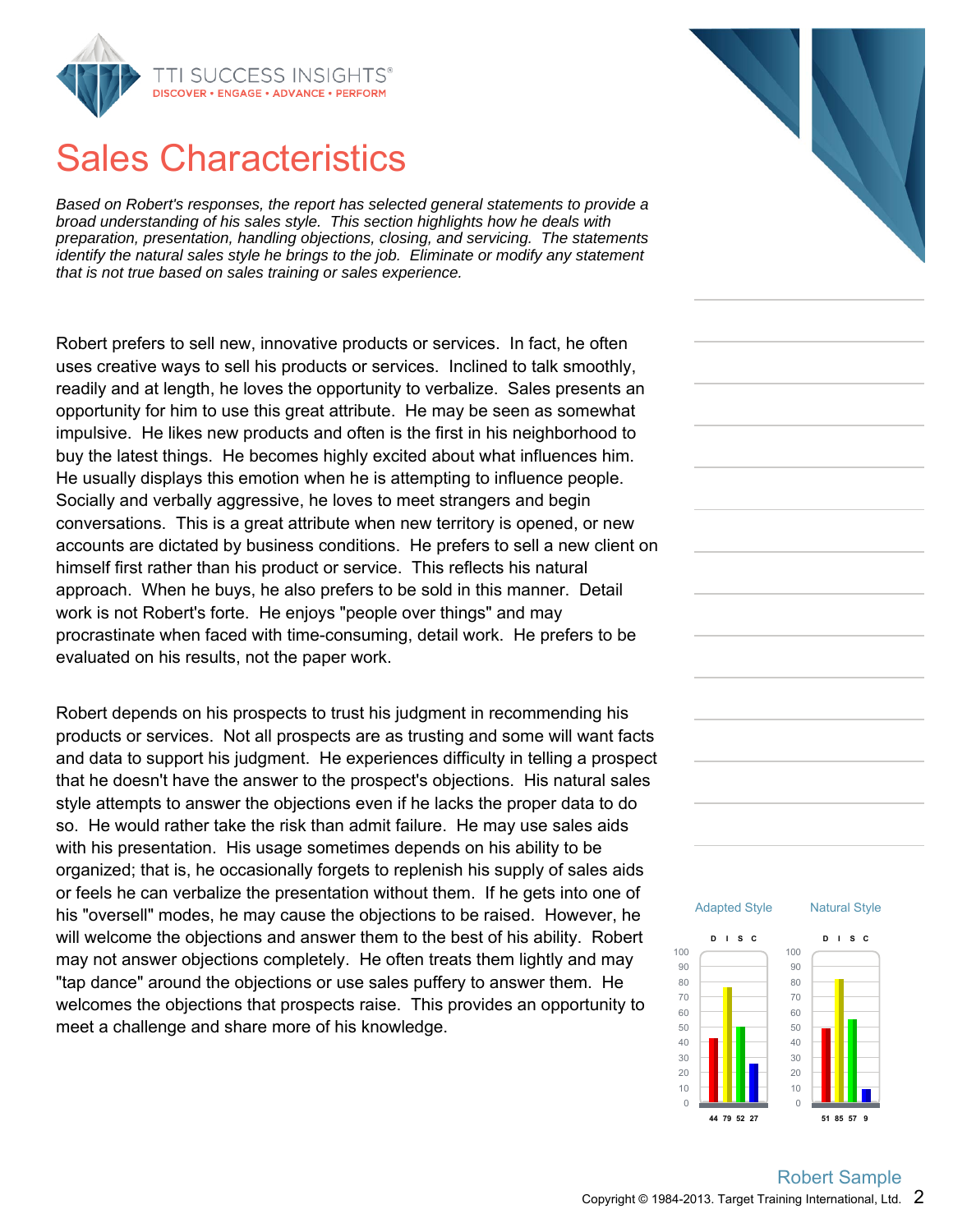

### Sales Characteristics

Based on Robert's responses, the report has selected general statements to provide a broad understanding of his sales style. This section highlights how he deals with preparation, presentation, handling objections, closing, and servicing. The statements identify the natural sales style he brings to the job. Eliminate or modify any statement that is not true based on sales training or sales experience.

Robert prefers to sell new, innovative products or services. In fact, he often uses creative ways to sell his products or services. Inclined to talk smoothly, readily and at length, he loves the opportunity to verbalize. Sales presents an opportunity for him to use this great attribute. He may be seen as somewhat impulsive. He likes new products and often is the first in his neighborhood to buy the latest things. He becomes highly excited about what influences him. He usually displays this emotion when he is attempting to influence people. Socially and verbally aggressive, he loves to meet strangers and begin conversations. This is a great attribute when new territory is opened, or new accounts are dictated by business conditions. He prefers to sell a new client on himself first rather than his product or service. This reflects his natural approach. When he buys, he also prefers to be sold in this manner. Detail work is not Robert's forte. He enjoys "people over things" and may procrastinate when faced with time-consuming, detail work. He prefers to be evaluated on his results, not the paper work.

Robert depends on his prospects to trust his judgment in recommending his products or services. Not all prospects are as trusting and some will want facts and data to support his judgment. He experiences difficulty in telling a prospect that he doesn't have the answer to the prospect's objections. His natural sales style attempts to answer the objections even if he lacks the proper data to do so. He would rather take the risk than admit failure. He may use sales aids with his presentation. His usage sometimes depends on his ability to be organized; that is, he occasionally forgets to replenish his supply of sales aids or feels he can verbalize the presentation without them. If he gets into one of his "oversell" modes, he may cause the objections to be raised. However, he will welcome the objections and answer them to the best of his ability. Robert may not answer objections completely. He often treats them lightly and may "tap dance" around the objections or use sales puffery to answer them. He welcomes the objections that prospects raise. This provides an opportunity to meet a challenge and share more of his knowledge.



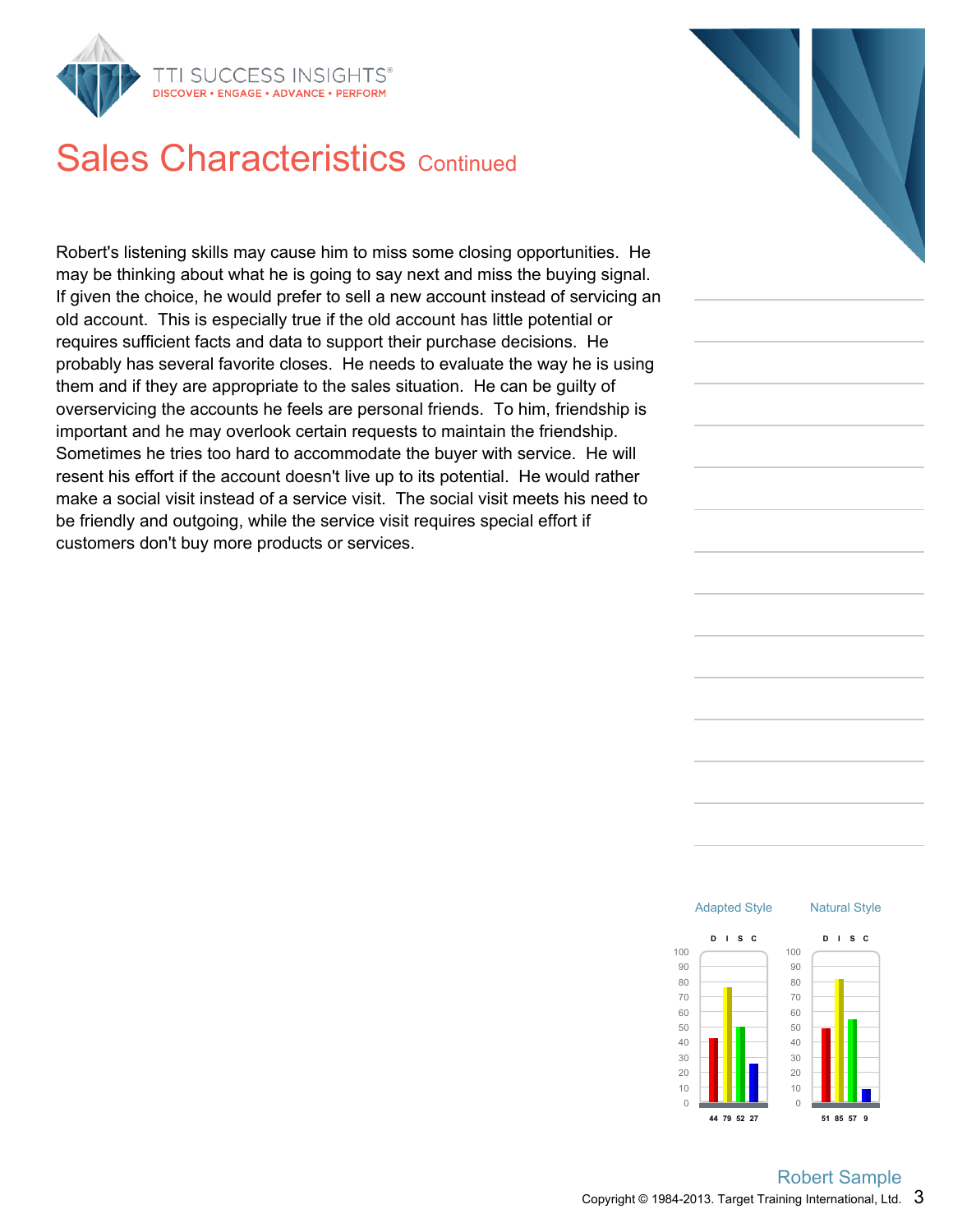

### Sales Characteristics Continued

Robert's listening skills may cause him to miss some closing opportunities. He may be thinking about what he is going to say next and miss the buying signal. If given the choice, he would prefer to sell a new account instead of servicing an old account. This is especially true if the old account has little potential or requires sufficient facts and data to support their purchase decisions. He probably has several favorite closes. He needs to evaluate the way he is using them and if they are appropriate to the sales situation. He can be guilty of overservicing the accounts he feels are personal friends. To him, friendship is important and he may overlook certain requests to maintain the friendship. Sometimes he tries too hard to accommodate the buyer with service. He will resent his effort if the account doesn't live up to its potential. He would rather make a social visit instead of a service visit. The social visit meets his need to be friendly and outgoing, while the service visit requires special effort if customers don't buy more products or services.



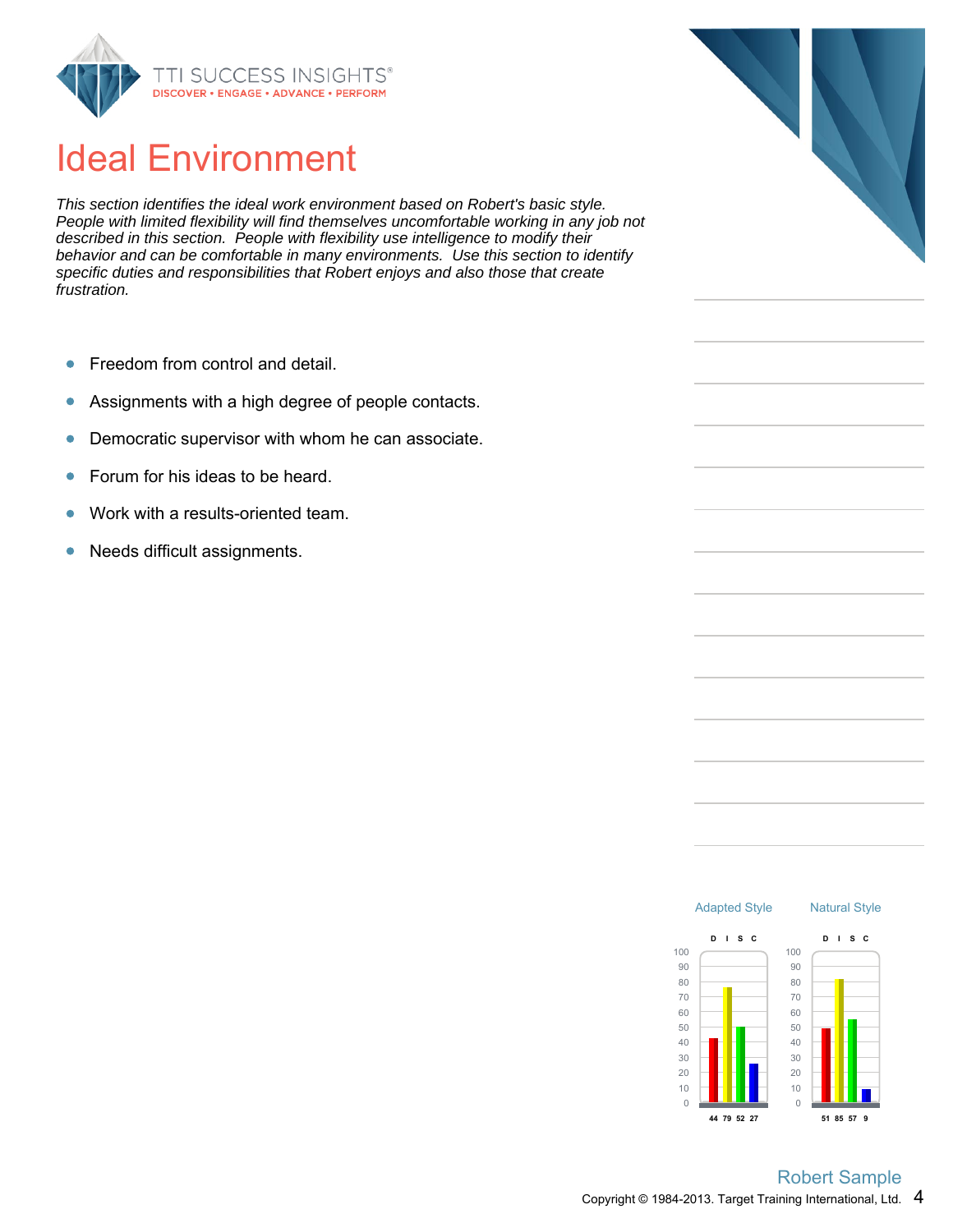

## Ideal Environment

This section identifies the ideal work environment based on Robert's basic style. People with limited flexibility will find themselves uncomfortable working in any job not described in this section. People with flexibility use intelligence to modify their behavior and can be comfortable in many environments. Use this section to identify specific duties and responsibilities that Robert enjoys and also those that create frustration.

- Freedom from control and detail.  $\bullet$
- Assignments with a high degree of people contacts.  $\bullet$
- Democratic supervisor with whom he can associate.  $\bullet$
- Forum for his ideas to be heard.  $\bullet$
- Work with a results-oriented team.
- Needs difficult assignments.  $\bullet$



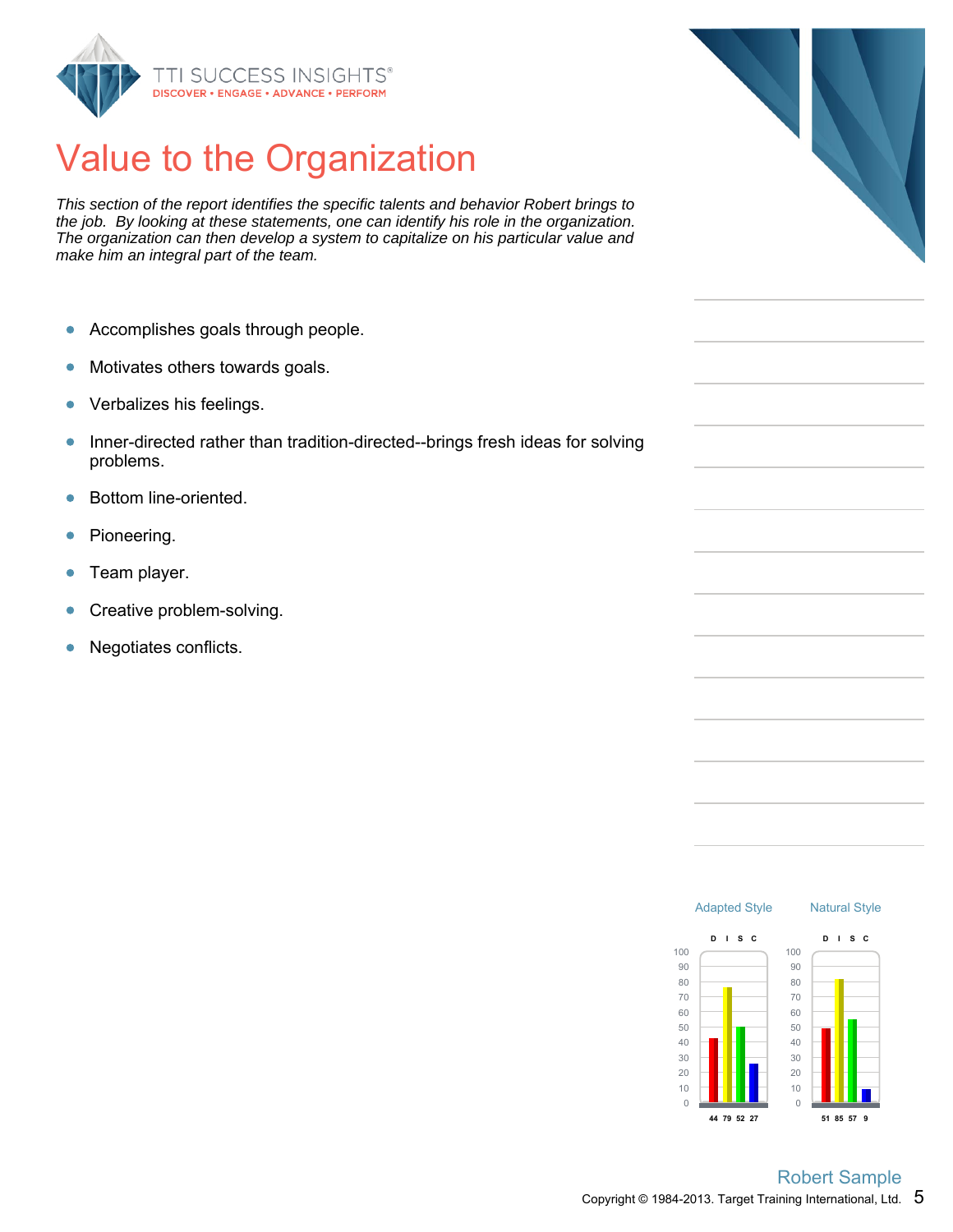

## Value to the Organization

This section of the report identifies the specific talents and behavior Robert brings to the job. By looking at these statements, one can identify his role in the organization. The organization can then develop a system to capitalize on his particular value and make him an integral part of the team.

- $\bullet$ Accomplishes goals through people.
- Motivates others towards goals.  $\bullet$
- Verbalizes his feelings.  $\bullet$
- Inner-directed rather than tradition-directed--brings fresh ideas for solving  $\bullet$ problems.
- Bottom line-oriented.  $\bullet$
- Pioneering.  $\bullet$
- Team player.  $\bullet$
- Creative problem-solving.  $\bullet$
- $\bullet$ Negotiates conflicts.



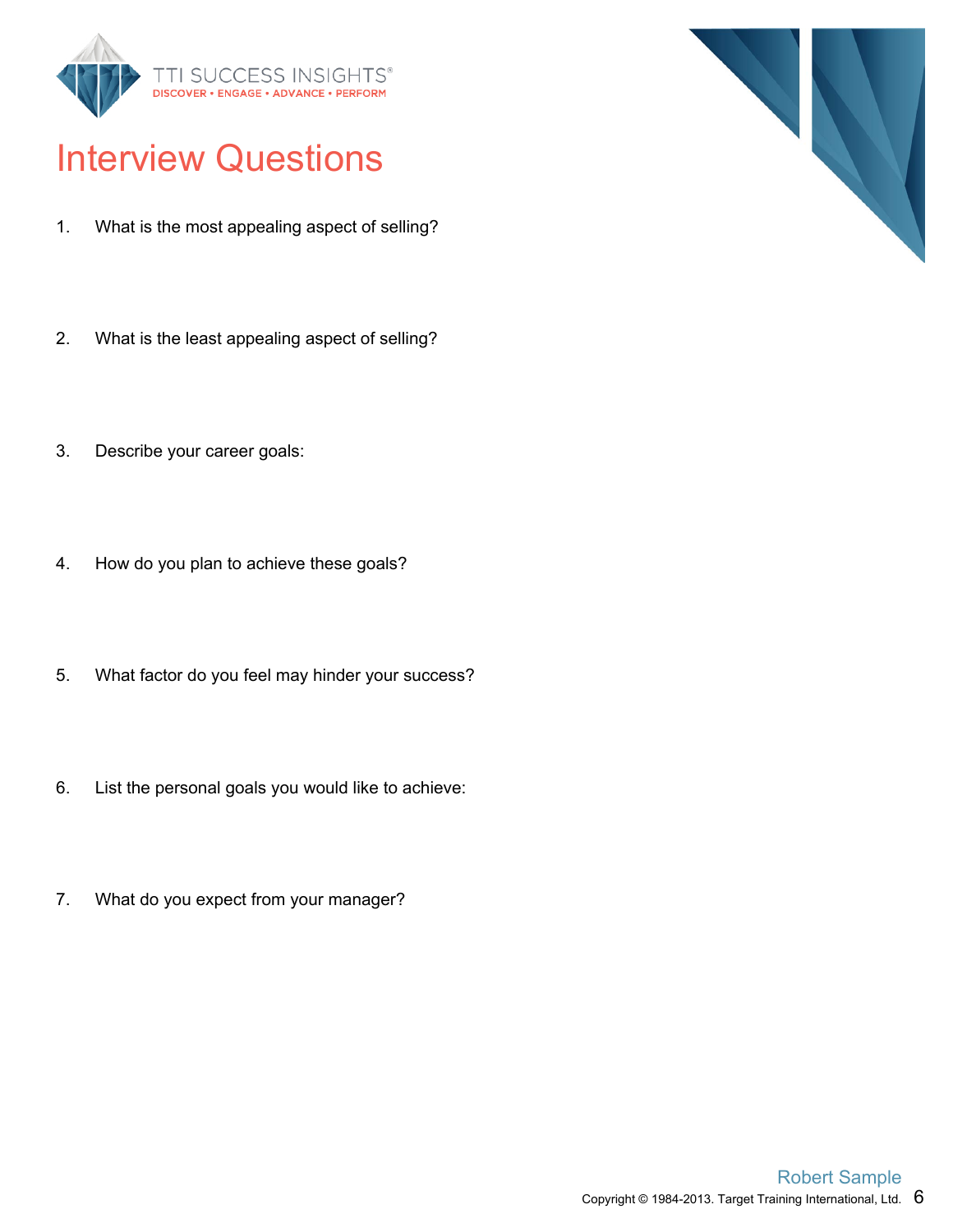

## Interview Questions

- 1. What is the most appealing aspect of selling?
- 2. What is the least appealing aspect of selling?
- 3. Describe your career goals:
- 4. How do you plan to achieve these goals?
- 5. What factor do you feel may hinder your success?
- 6. List the personal goals you would like to achieve:
- 7. What do you expect from your manager?

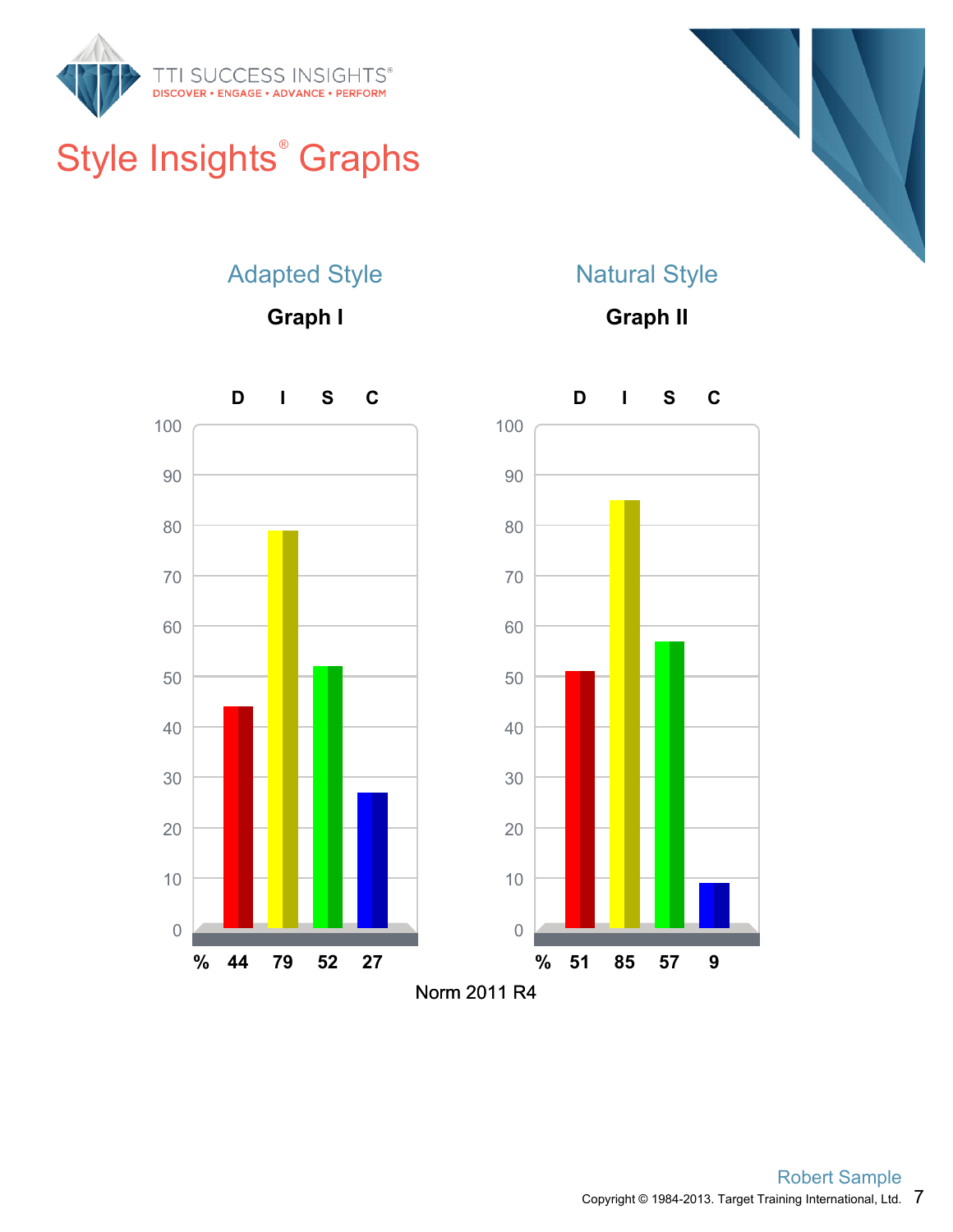

# Style Insights<sup>®</sup> Graphs



#### Adapted Style

**Graph I**

#### Natural Style

**Graph II**

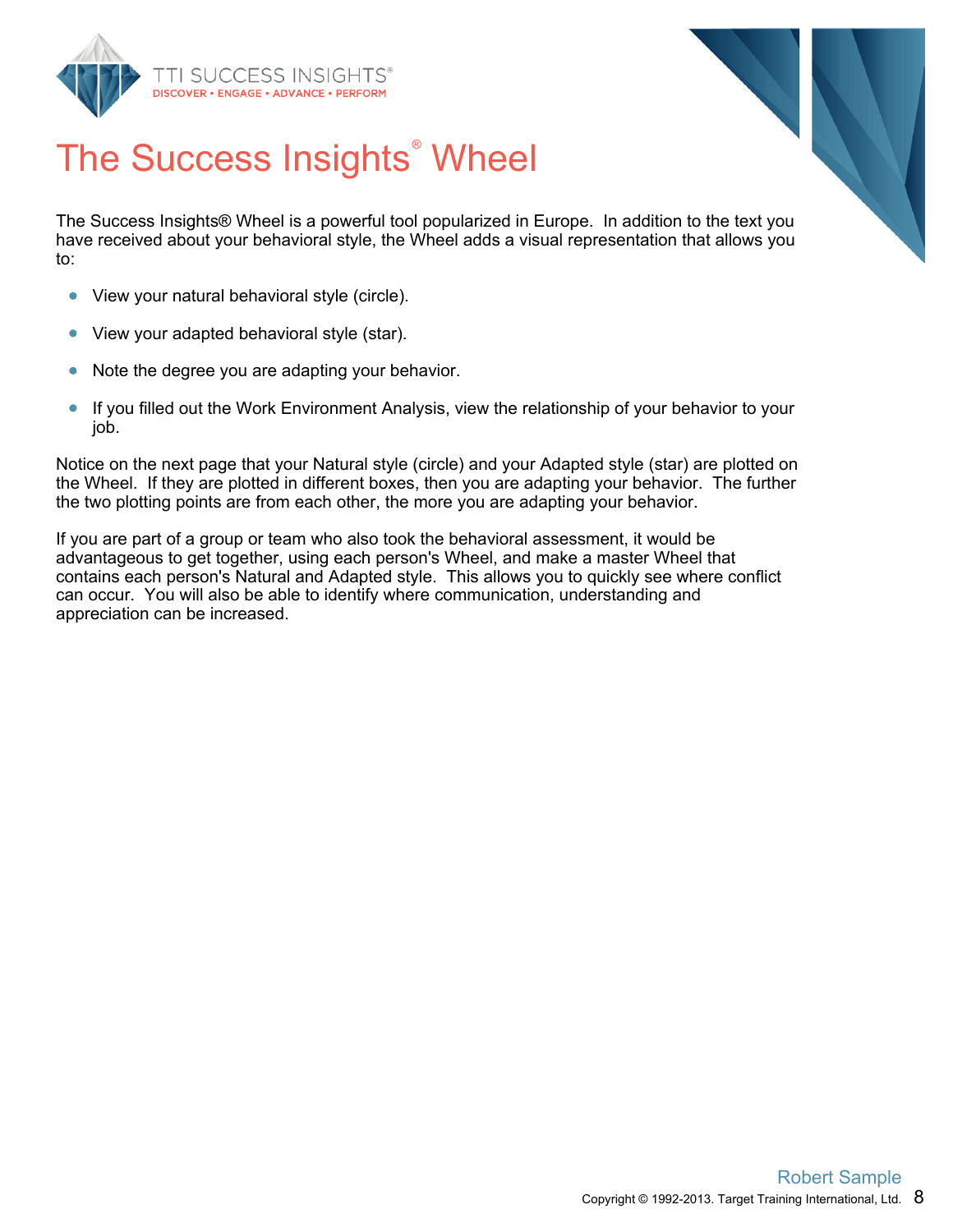



# The Success Insights<sup>®</sup> Wheel

The Success Insights® Wheel is a powerful tool popularized in Europe. In addition to the text you have received about your behavioral style, the Wheel adds a visual representation that allows you to:

- View your natural behavioral style (circle).  $\bullet$
- View your adapted behavioral style (star).  $\bullet$
- $\bullet$ Note the degree you are adapting your behavior.
- $\bullet$ If you filled out the Work Environment Analysis, view the relationship of your behavior to your job.

Notice on the next page that your Natural style (circle) and your Adapted style (star) are plotted on the Wheel. If they are plotted in different boxes, then you are adapting your behavior. The further the two plotting points are from each other, the more you are adapting your behavior.

If you are part of a group or team who also took the behavioral assessment, it would be advantageous to get together, using each person's Wheel, and make a master Wheel that contains each person's Natural and Adapted style. This allows you to quickly see where conflict can occur. You will also be able to identify where communication, understanding and appreciation can be increased.